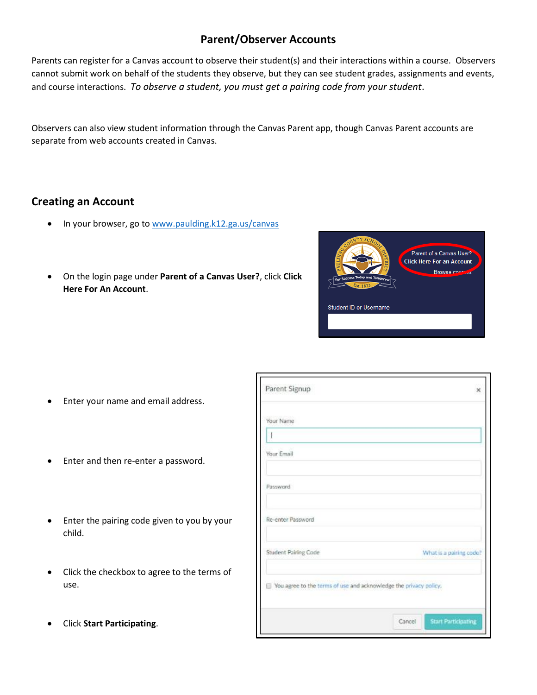# **Parent/Observer Accounts**

Parents can register for a Canvas account to observe their student(s) and their interactions within a course. Observers cannot submit work on behalf of the students they observe, but they can see student grades, assignments and events, and course interactions. *To observe a student, you must get a pairing code from your student*.

Observers can also view student information through the Canvas Parent app, though Canvas Parent accounts are separate from web accounts created in Canvas.

## **Creating an Account**

- In your browser, go t[o www.paulding.k12.ga.us/canvas](http://www.paulding.k12.ga.us/canvas)
- On the login page under **Parent of a Canvas User?**, click **Click Here For An Account**.



- Enter your name and email address.
- Enter and then re-enter a password.
- Enter the pairing code given to you by your child.
- Click the checkbox to agree to the terms of use.
- Click **Start Participating**.

| Parent Signup                                                     |        | ×                          |
|-------------------------------------------------------------------|--------|----------------------------|
| Your Name                                                         |        |                            |
| ł                                                                 |        |                            |
| Your Email                                                        |        |                            |
| Password                                                          |        |                            |
| Re-enter Password                                                 |        |                            |
| Student Pairing Code                                              |        | What is a pairing code?    |
| Wou agree to the terms of use and acknowledge the privacy policy, |        |                            |
|                                                                   | Cancel | <b>Start Participating</b> |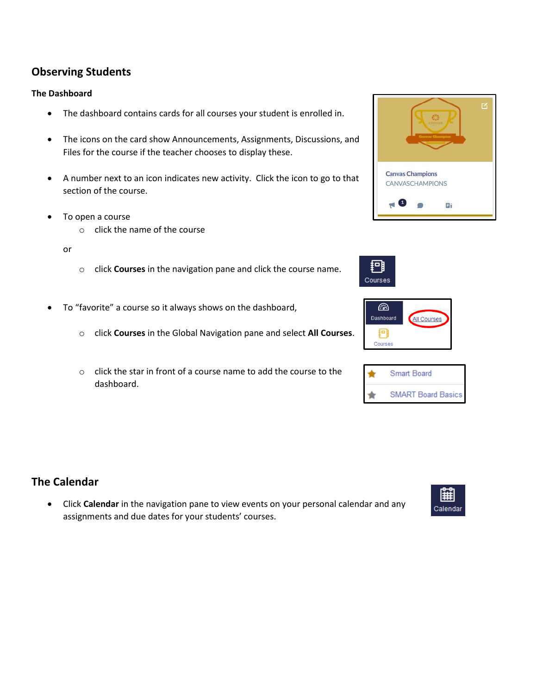## **Observing Students**

### **The Dashboard**

- The dashboard contains cards for all courses your student is enrolled in.
- The icons on the card show Announcements, Assignments, Discussions, and Files for the course if the teacher chooses to display these.
- A number next to an icon indicates new activity. Click the icon to go to that section of the course.
- To open a course
	- o click the name of the course

#### or

- o click **Courses** in the navigation pane and click the course name.
- To "favorite" a course so it always shows on the dashboard,
	- o click **Courses** in the Global Navigation pane and select **All Courses**.
	- o click the star in front of a course name to add the course to the dashboard.

### **The Calendar**

• Click **Calendar** in the navigation pane to view events on your personal calendar and any assignments and due dates for your students' courses.









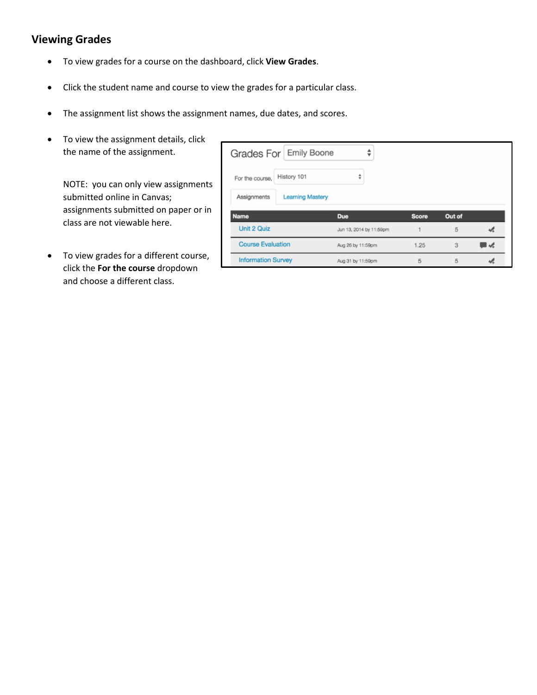# **Viewing Grades**

- To view grades for a course on the dashboard, click **View Grades**.
- Click the student name and course to view the grades for a particular class.
- The assignment list shows the assignment names, due dates, and scores.
- To view the assignment details, click the name of the assignment.

NOTE: you can only view assignments submitted online in Canvas; assignments submitted on paper or in class are not viewable here.

• To view grades for a different course, click the **For the course** dropdown and choose a different class.

| Grades For Emily Boone    |                         |                         |              |        |  |  |
|---------------------------|-------------------------|-------------------------|--------------|--------|--|--|
| For the course,           | History 101             | ÷                       |              |        |  |  |
| Assignments               | <b>Learning Mastery</b> |                         |              |        |  |  |
| <b>Name</b>               |                         | <b>Due</b>              | <b>Score</b> | Out of |  |  |
| Unit 2 Quiz               |                         | Jun 13, 2014 by 11:59pm |              | 5      |  |  |
| <b>Course Evaluation</b>  |                         | Aug 26 by 11:59pm       | 1.25         | 3      |  |  |
| <b>Information Survey</b> |                         | Aug 31 by 11:59pm       | 5            | 5      |  |  |